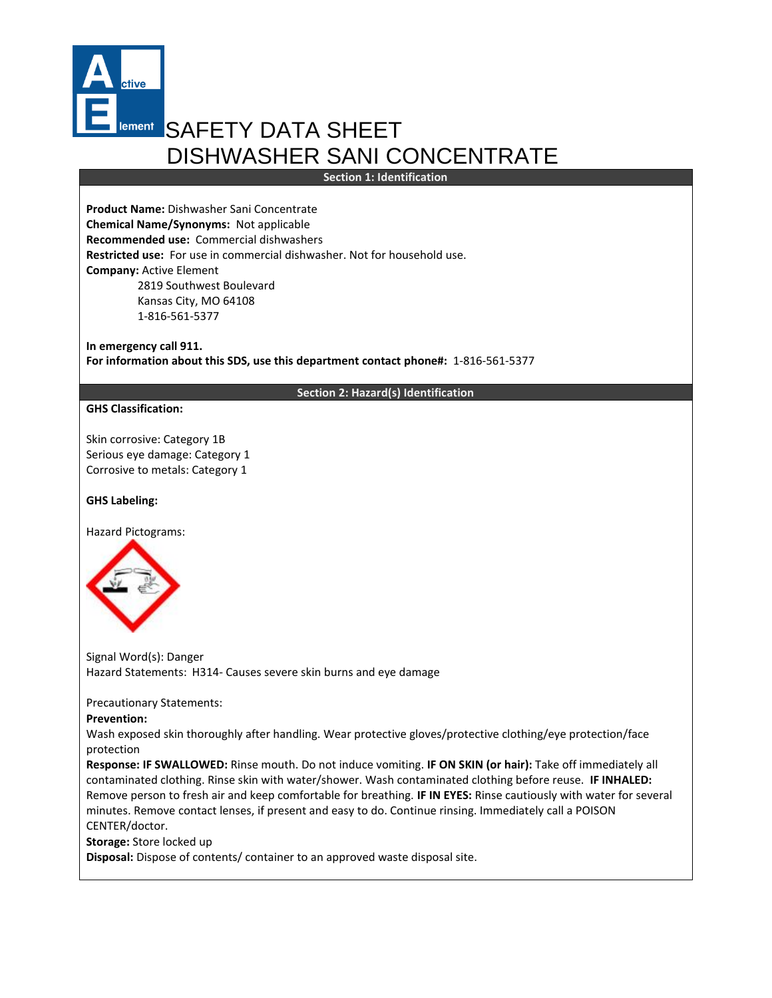

# **Iement SAFETY DATA SHEET** DISHWASHER SANI CONCENTRATE

**Section 1: Identification**

**Product Name:** Dishwasher Sani Concentrate **Chemical Name/Synonyms:** Not applicable **Recommended use:** Commercial dishwashers **Restricted use:** For use in commercial dishwasher. Not for household use. **Company:** Active Element 2819 Southwest Boulevard Kansas City, MO 64108 1-816-561-5377

**In emergency call 911. For information about this SDS, use this department contact phone#:** 1-816-561-5377

## **Section 2: Hazard(s) Identification**

## **GHS Classification:**

Skin corrosive: Category 1B Serious eye damage: Category 1 Corrosive to metals: Category 1

# **GHS Labeling:**

Hazard Pictograms:



Signal Word(s): Danger Hazard Statements: H314- Causes severe skin burns and eye damage

Precautionary Statements:

## **Prevention:**

Wash exposed skin thoroughly after handling. Wear protective gloves/protective clothing/eye protection/face protection

**Response: IF SWALLOWED:** Rinse mouth. Do not induce vomiting. **IF ON SKIN (or hair):** Take off immediately all contaminated clothing. Rinse skin with water/shower. Wash contaminated clothing before reuse. **IF INHALED:** Remove person to fresh air and keep comfortable for breathing. **IF IN EYES:** Rinse cautiously with water for several minutes. Remove contact lenses, if present and easy to do. Continue rinsing. Immediately call a POISON CENTER/doctor.

**Storage:** Store locked up

**Disposal:** Dispose of contents/ container to an approved waste disposal site.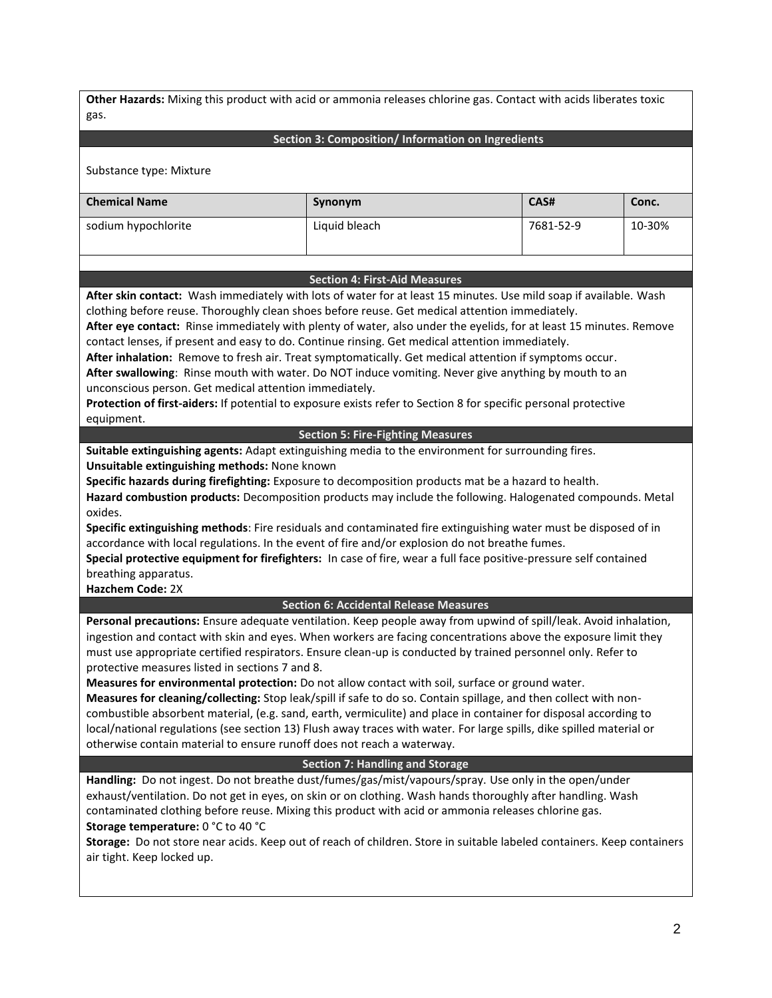**Other Hazards:** Mixing this product with acid or ammonia releases chlorine gas. Contact with acids liberates toxic gas.

## **Section 3: Composition/ Information on Ingredients**

Substance type: Mixture

| <b>Chemical Name</b> | Synonym       | CAS#      | Conc.  |
|----------------------|---------------|-----------|--------|
| sodium hypochlorite  | Liquid bleach | 7681-52-9 | 10-30% |

#### **Section 4: First-Aid Measures**

**After skin contact:** Wash immediately with lots of water for at least 15 minutes. Use mild soap if available. Wash clothing before reuse. Thoroughly clean shoes before reuse. Get medical attention immediately.

**After eye contact:** Rinse immediately with plenty of water, also under the eyelids, for at least 15 minutes. Remove contact lenses, if present and easy to do. Continue rinsing. Get medical attention immediately.

**After inhalation:** Remove to fresh air. Treat symptomatically. Get medical attention if symptoms occur.

**After swallowing**: Rinse mouth with water. Do NOT induce vomiting. Never give anything by mouth to an unconscious person. Get medical attention immediately.

**Protection of first-aiders:** If potential to exposure exists refer to Section 8 for specific personal protective equipment.

**Section 5: Fire-Fighting Measures**

**Suitable extinguishing agents:** Adapt extinguishing media to the environment for surrounding fires. **Unsuitable extinguishing methods:** None known

**Specific hazards during firefighting:** Exposure to decomposition products mat be a hazard to health.

**Hazard combustion products:** Decomposition products may include the following. Halogenated compounds. Metal oxides.

**Specific extinguishing methods**: Fire residuals and contaminated fire extinguishing water must be disposed of in accordance with local regulations. In the event of fire and/or explosion do not breathe fumes.

**Special protective equipment for firefighters:** In case of fire, wear a full face positive-pressure self contained breathing apparatus.

**Hazchem Code:** 2X

#### **Section 6: Accidental Release Measures**

**Personal precautions:** Ensure adequate ventilation. Keep people away from upwind of spill/leak. Avoid inhalation, ingestion and contact with skin and eyes. When workers are facing concentrations above the exposure limit they must use appropriate certified respirators. Ensure clean-up is conducted by trained personnel only. Refer to protective measures listed in sections 7 and 8.

**Measures for environmental protection:** Do not allow contact with soil, surface or ground water.

**Measures for cleaning/collecting:** Stop leak/spill if safe to do so. Contain spillage, and then collect with noncombustible absorbent material, (e.g. sand, earth, vermiculite) and place in container for disposal according to local/national regulations (see section 13) Flush away traces with water. For large spills, dike spilled material or otherwise contain material to ensure runoff does not reach a waterway.

#### **Section 7: Handling and Storage**

**Handling:** Do not ingest. Do not breathe dust/fumes/gas/mist/vapours/spray. Use only in the open/under exhaust/ventilation. Do not get in eyes, on skin or on clothing. Wash hands thoroughly after handling. Wash contaminated clothing before reuse. Mixing this product with acid or ammonia releases chlorine gas. **Storage temperature:** 0 °C to 40 °C

**Storage:** Do not store near acids. Keep out of reach of children. Store in suitable labeled containers. Keep containers air tight. Keep locked up.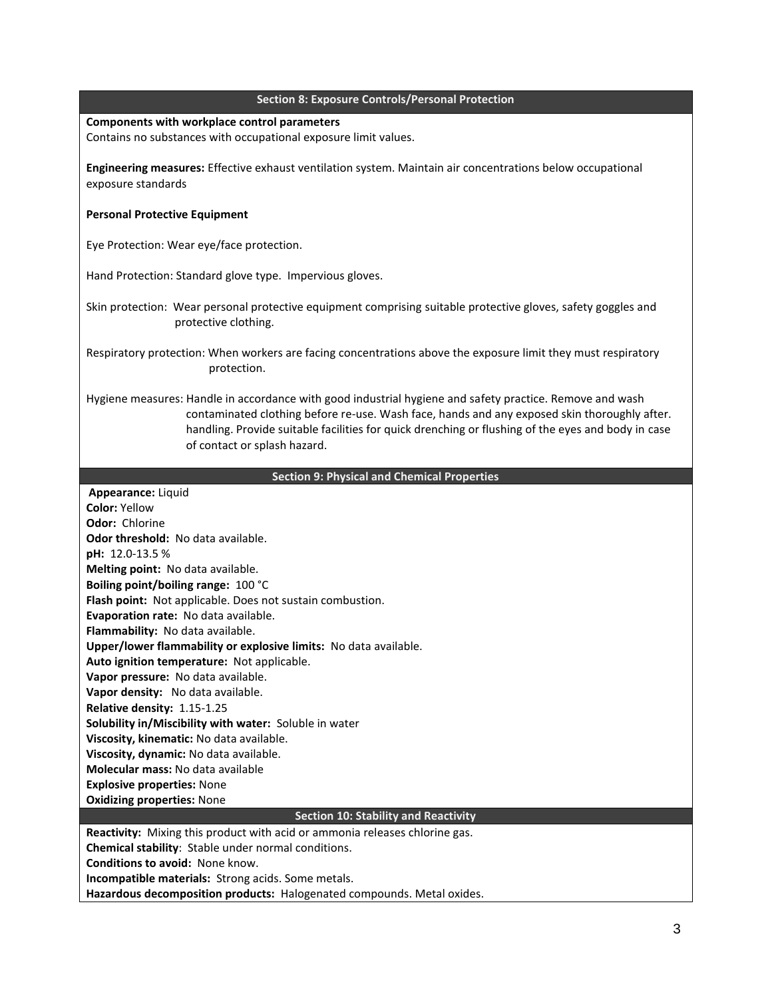#### **Section 8: Exposure Controls/Personal Protection**

# **Components with workplace control parameters**

Contains no substances with occupational exposure limit values.

**Engineering measures:** Effective exhaust ventilation system. Maintain air concentrations below occupational exposure standards

# **Personal Protective Equipment**

Eye Protection: Wear eye/face protection.

Hand Protection: Standard glove type. Impervious gloves.

Skin protection: Wear personal protective equipment comprising suitable protective gloves, safety goggles and protective clothing.

Respiratory protection: When workers are facing concentrations above the exposure limit they must respiratory protection.

Hygiene measures: Handle in accordance with good industrial hygiene and safety practice. Remove and wash contaminated clothing before re-use. Wash face, hands and any exposed skin thoroughly after. handling. Provide suitable facilities for quick drenching or flushing of the eyes and body in case of contact or splash hazard.

# **Section 9: Physical and Chemical Properties**

| Appearance: Liquid                                                          |  |  |
|-----------------------------------------------------------------------------|--|--|
| Color: Yellow                                                               |  |  |
| Odor: Chlorine                                                              |  |  |
| <b>Odor threshold: No data available.</b>                                   |  |  |
| pH: 12.0-13.5 %                                                             |  |  |
| Melting point: No data available.                                           |  |  |
| Boiling point/boiling range: 100 °C                                         |  |  |
| Flash point: Not applicable. Does not sustain combustion.                   |  |  |
| <b>Evaporation rate: No data available.</b>                                 |  |  |
| Flammability: No data available.                                            |  |  |
| Upper/lower flammability or explosive limits: No data available.            |  |  |
| Auto ignition temperature: Not applicable.                                  |  |  |
| Vapor pressure: No data available.                                          |  |  |
| Vapor density: No data available.                                           |  |  |
| Relative density: 1.15-1.25                                                 |  |  |
| Solubility in/Miscibility with water: Soluble in water                      |  |  |
| Viscosity, kinematic: No data available.                                    |  |  |
| Viscosity, dynamic: No data available.                                      |  |  |
| Molecular mass: No data available                                           |  |  |
| <b>Explosive properties: None</b>                                           |  |  |
| <b>Oxidizing properties: None</b>                                           |  |  |
| <b>Section 10: Stability and Reactivity</b>                                 |  |  |
| Reactivity: Mixing this product with acid or ammonia releases chlorine gas. |  |  |
| <b>Chemical stability:</b> Stable under normal conditions.                  |  |  |
| <b>Conditions to avoid: None know.</b>                                      |  |  |
| <b>Incompatible materials:</b> Strong acids. Some metals.                   |  |  |
| Hazardous decomposition products: Halogenated compounds. Metal oxides.      |  |  |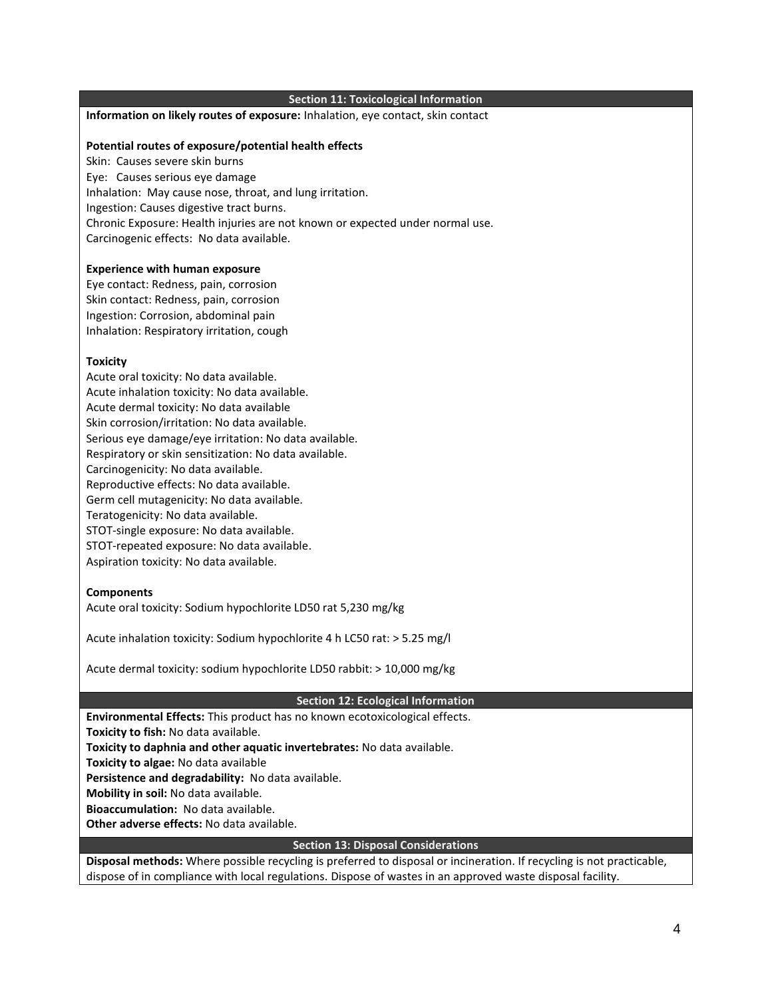## **Section 11: Toxicological Information**

## **Information on likely routes of exposure:** Inhalation, eye contact, skin contact

## **Potential routes of exposure/potential health effects**

Skin: Causes severe skin burns Eye: Causes serious eye damage Inhalation: May cause nose, throat, and lung irritation. Ingestion: Causes digestive tract burns. Chronic Exposure: Health injuries are not known or expected under normal use. Carcinogenic effects: No data available.

#### **Experience with human exposure**

Eye contact: Redness, pain, corrosion Skin contact: Redness, pain, corrosion Ingestion: Corrosion, abdominal pain Inhalation: Respiratory irritation, cough

#### **Toxicity**

Acute oral toxicity: No data available. Acute inhalation toxicity: No data available. Acute dermal toxicity: No data available Skin corrosion/irritation: No data available. Serious eye damage/eye irritation: No data available. Respiratory or skin sensitization: No data available. Carcinogenicity: No data available. Reproductive effects: No data available. Germ cell mutagenicity: No data available. Teratogenicity: No data available. STOT-single exposure: No data available. STOT-repeated exposure: No data available. Aspiration toxicity: No data available.

## **Components**

Acute oral toxicity: Sodium hypochlorite LD50 rat 5,230 mg/kg

Acute inhalation toxicity: Sodium hypochlorite 4 h LC50 rat: > 5.25 mg/l

Acute dermal toxicity: sodium hypochlorite LD50 rabbit: > 10,000 mg/kg

#### **Section 12: Ecological Information**

**Environmental Effects:** This product has no known ecotoxicological effects.

**Toxicity to fish:** No data available.

**Toxicity to daphnia and other aquatic invertebrates:** No data available.

**Toxicity to algae:** No data available

**Persistence and degradability:** No data available.

**Mobility in soil:** No data available.

**Bioaccumulation:** No data available.

**Other adverse effects:** No data available.

## **Section 13: Disposal Considerations**

**Disposal methods:** Where possible recycling is preferred to disposal or incineration. If recycling is not practicable, dispose of in compliance with local regulations. Dispose of wastes in an approved waste disposal facility.